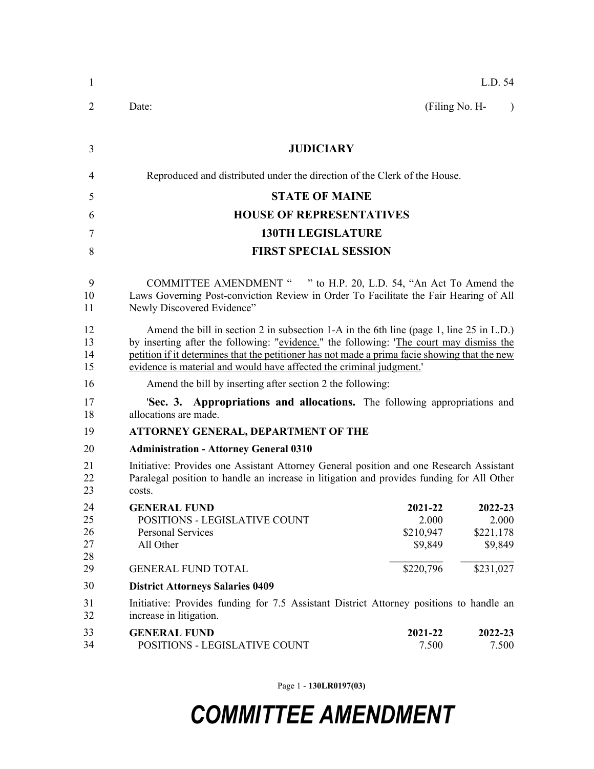| 1                          | L.D. 54                                                                                                                                                                                                                                                                                                                                                    |  |  |  |
|----------------------------|------------------------------------------------------------------------------------------------------------------------------------------------------------------------------------------------------------------------------------------------------------------------------------------------------------------------------------------------------------|--|--|--|
| $\overline{2}$             | (Filing No. H-<br>Date:<br>$\lambda$                                                                                                                                                                                                                                                                                                                       |  |  |  |
| 3                          | <b>JUDICIARY</b>                                                                                                                                                                                                                                                                                                                                           |  |  |  |
| 4                          | Reproduced and distributed under the direction of the Clerk of the House.                                                                                                                                                                                                                                                                                  |  |  |  |
| 5                          | <b>STATE OF MAINE</b>                                                                                                                                                                                                                                                                                                                                      |  |  |  |
| 6                          | <b>HOUSE OF REPRESENTATIVES</b>                                                                                                                                                                                                                                                                                                                            |  |  |  |
| 7                          | <b>130TH LEGISLATURE</b>                                                                                                                                                                                                                                                                                                                                   |  |  |  |
| 8                          | <b>FIRST SPECIAL SESSION</b>                                                                                                                                                                                                                                                                                                                               |  |  |  |
| 9<br>10<br>11              | COMMITTEE AMENDMENT " " to H.P. 20, L.D. 54, "An Act To Amend the<br>Laws Governing Post-conviction Review in Order To Facilitate the Fair Hearing of All<br>Newly Discovered Evidence"                                                                                                                                                                    |  |  |  |
| 12<br>13<br>14<br>15       | Amend the bill in section 2 in subsection 1-A in the 6th line (page 1, line 25 in L.D.)<br>by inserting after the following: "evidence." the following: 'The court may dismiss the<br>petition if it determines that the petitioner has not made a prima facie showing that the new<br>evidence is material and would have affected the criminal judgment. |  |  |  |
| 16                         | Amend the bill by inserting after section 2 the following:                                                                                                                                                                                                                                                                                                 |  |  |  |
| 17<br>18                   | 'Sec. 3. Appropriations and allocations. The following appropriations and<br>allocations are made.                                                                                                                                                                                                                                                         |  |  |  |
| 19                         | ATTORNEY GENERAL, DEPARTMENT OF THE                                                                                                                                                                                                                                                                                                                        |  |  |  |
| 20                         | <b>Administration - Attorney General 0310</b>                                                                                                                                                                                                                                                                                                              |  |  |  |
| 21<br>22<br>23             | Initiative: Provides one Assistant Attorney General position and one Research Assistant<br>Paralegal position to handle an increase in litigation and provides funding for All Other<br>costs.                                                                                                                                                             |  |  |  |
| 24<br>25<br>26<br>27<br>28 | <b>GENERAL FUND</b><br>2021-22<br>2022-23<br>POSITIONS - LEGISLATIVE COUNT<br>2.000<br>2.000<br>\$210,947<br><b>Personal Services</b><br>\$221,178<br>All Other<br>\$9,849<br>\$9,849                                                                                                                                                                      |  |  |  |
| 29                         | <b>GENERAL FUND TOTAL</b><br>\$220,796<br>\$231,027                                                                                                                                                                                                                                                                                                        |  |  |  |
| 30                         | <b>District Attorneys Salaries 0409</b>                                                                                                                                                                                                                                                                                                                    |  |  |  |
| 31<br>32                   | Initiative: Provides funding for 7.5 Assistant District Attorney positions to handle an<br>increase in litigation.                                                                                                                                                                                                                                         |  |  |  |
| 33<br>34                   | <b>GENERAL FUND</b><br>2021-22<br>2022-23<br>7.500<br>7.500<br>POSITIONS - LEGISLATIVE COUNT                                                                                                                                                                                                                                                               |  |  |  |

Page 1 - **130LR0197(03)**

## *COMMITTEE AMENDMENT*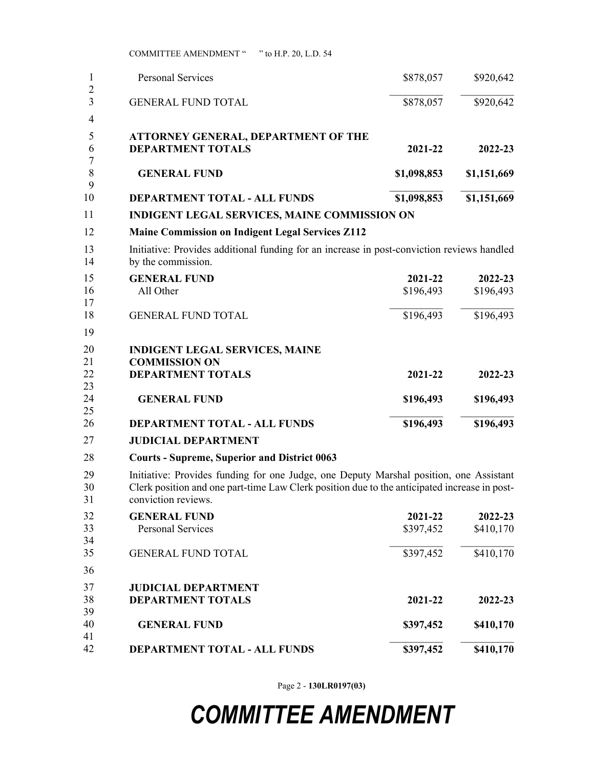| 1                                     | <b>Personal Services</b>                                                                                                                                                                                      | \$878,057            | \$920,642            |  |
|---------------------------------------|---------------------------------------------------------------------------------------------------------------------------------------------------------------------------------------------------------------|----------------------|----------------------|--|
| $\overline{2}$<br>3<br>$\overline{4}$ | <b>GENERAL FUND TOTAL</b>                                                                                                                                                                                     | \$878,057            | \$920,642            |  |
| 5<br>6<br>7                           | ATTORNEY GENERAL, DEPARTMENT OF THE<br><b>DEPARTMENT TOTALS</b>                                                                                                                                               | 2021-22              | 2022-23              |  |
| 8<br>9                                | <b>GENERAL FUND</b>                                                                                                                                                                                           | \$1,098,853          | \$1,151,669          |  |
| 10                                    | <b>DEPARTMENT TOTAL - ALL FUNDS</b>                                                                                                                                                                           | \$1,098,853          | \$1,151,669          |  |
| 11                                    | <b>INDIGENT LEGAL SERVICES, MAINE COMMISSION ON</b>                                                                                                                                                           |                      |                      |  |
| 12                                    | <b>Maine Commission on Indigent Legal Services Z112</b>                                                                                                                                                       |                      |                      |  |
| 13<br>14                              | Initiative: Provides additional funding for an increase in post-conviction reviews handled<br>by the commission.                                                                                              |                      |                      |  |
| 15<br>16<br>17                        | <b>GENERAL FUND</b><br>All Other                                                                                                                                                                              | 2021-22<br>\$196,493 | 2022-23<br>\$196,493 |  |
| 18<br>19                              | <b>GENERAL FUND TOTAL</b>                                                                                                                                                                                     | \$196,493            | \$196,493            |  |
| 20<br>21<br>22<br>23                  | <b>INDIGENT LEGAL SERVICES, MAINE</b><br><b>COMMISSION ON</b><br><b>DEPARTMENT TOTALS</b>                                                                                                                     | 2021-22              | 2022-23              |  |
| 24<br>25                              | <b>GENERAL FUND</b>                                                                                                                                                                                           | \$196,493            | \$196,493            |  |
| 26                                    | DEPARTMENT TOTAL - ALL FUNDS                                                                                                                                                                                  | \$196,493            | \$196,493            |  |
| 27                                    | <b>JUDICIAL DEPARTMENT</b>                                                                                                                                                                                    |                      |                      |  |
| 28                                    | <b>Courts - Supreme, Superior and District 0063</b>                                                                                                                                                           |                      |                      |  |
| 29<br>30<br>31                        | Initiative: Provides funding for one Judge, one Deputy Marshal position, one Assistant<br>Clerk position and one part-time Law Clerk position due to the anticipated increase in post-<br>conviction reviews. |                      |                      |  |
| 32<br>33<br>34                        | <b>GENERAL FUND</b><br><b>Personal Services</b>                                                                                                                                                               | 2021-22<br>\$397,452 | 2022-23<br>\$410,170 |  |
| 35                                    | <b>GENERAL FUND TOTAL</b>                                                                                                                                                                                     | \$397,452            | \$410,170            |  |
| 36                                    |                                                                                                                                                                                                               |                      |                      |  |
| 37<br>38<br>39                        | <b>JUDICIAL DEPARTMENT</b><br><b>DEPARTMENT TOTALS</b>                                                                                                                                                        | 2021-22              | 2022-23              |  |
| 40<br>41                              | <b>GENERAL FUND</b>                                                                                                                                                                                           | \$397,452            | \$410,170            |  |
| 42                                    | DEPARTMENT TOTAL - ALL FUNDS                                                                                                                                                                                  | \$397,452            | \$410,170            |  |

Page 2 - **130LR0197(03)**

## *COMMITTEE AMENDMENT*